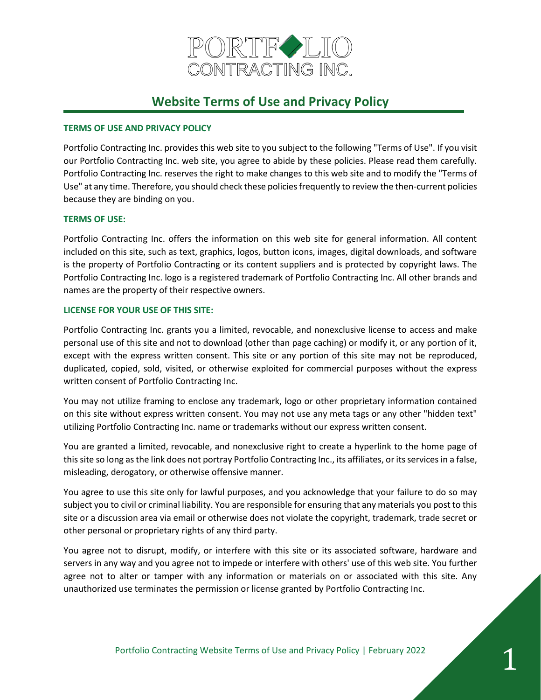

# **Website Terms of Use and Privacy Policy**

## **TERMS OF USE AND PRIVACY POLICY**

Portfolio Contracting Inc. provides this web site to you subject to the following "Terms of Use". If you visit our Portfolio Contracting Inc. web site, you agree to abide by these policies. Please read them carefully. Portfolio Contracting Inc. reserves the right to make changes to this web site and to modify the "Terms of Use" at any time. Therefore, you should check these policies frequently to review the then-current policies because they are binding on you.

## **TERMS OF USE:**

Portfolio Contracting Inc. offers the information on this web site for general information. All content included on this site, such as text, graphics, logos, button icons, images, digital downloads, and software is the property of Portfolio Contracting or its content suppliers and is protected by copyright laws. The Portfolio Contracting Inc. logo is a registered trademark of Portfolio Contracting Inc. All other brands and names are the property of their respective owners.

## **LICENSE FOR YOUR USE OF THIS SITE:**

Portfolio Contracting Inc. grants you a limited, revocable, and nonexclusive license to access and make personal use of this site and not to download (other than page caching) or modify it, or any portion of it, except with the express written consent. This site or any portion of this site may not be reproduced, duplicated, copied, sold, visited, or otherwise exploited for commercial purposes without the express written consent of Portfolio Contracting Inc.

You may not utilize framing to enclose any trademark, logo or other proprietary information contained on this site without express written consent. You may not use any meta tags or any other "hidden text" utilizing Portfolio Contracting Inc. name or trademarks without our express written consent.

You are granted a limited, revocable, and nonexclusive right to create a hyperlink to the home page of this site so long as the link does not portray Portfolio Contracting Inc., its affiliates, or its services in a false, misleading, derogatory, or otherwise offensive manner.

You agree to use this site only for lawful purposes, and you acknowledge that your failure to do so may subject you to civil or criminal liability. You are responsible for ensuring that any materials you post to this site or a discussion area via email or otherwise does not violate the copyright, trademark, trade secret or other personal or proprietary rights of any third party.

You agree not to disrupt, modify, or interfere with this site or its associated software, hardware and servers in any way and you agree not to impede or interfere with others' use of this web site. You further agree not to alter or tamper with any information or materials on or associated with this site. Any unauthorized use terminates the permission or license granted by Portfolio Contracting Inc.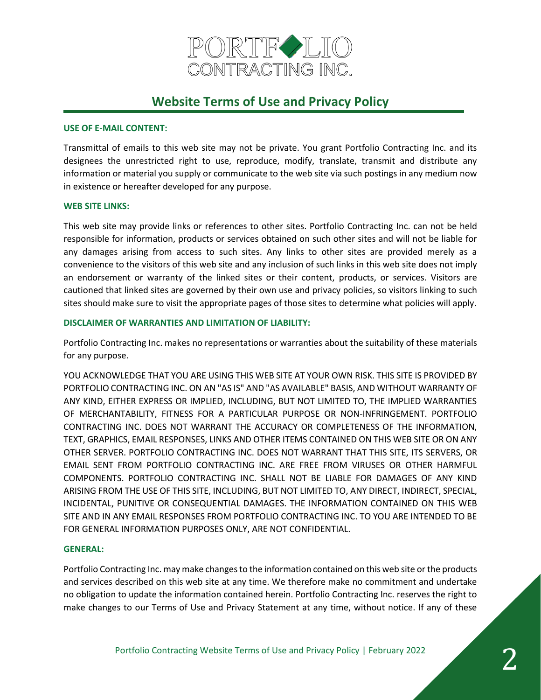

# **Website Terms of Use and Privacy Policy**

#### **USE OF E-MAIL CONTENT:**

Transmittal of emails to this web site may not be private. You grant Portfolio Contracting Inc. and its designees the unrestricted right to use, reproduce, modify, translate, transmit and distribute any information or material you supply or communicate to the web site via such postings in any medium now in existence or hereafter developed for any purpose.

#### **WEB SITE LINKS:**

This web site may provide links or references to other sites. Portfolio Contracting Inc. can not be held responsible for information, products or services obtained on such other sites and will not be liable for any damages arising from access to such sites. Any links to other sites are provided merely as a convenience to the visitors of this web site and any inclusion of such links in this web site does not imply an endorsement or warranty of the linked sites or their content, products, or services. Visitors are cautioned that linked sites are governed by their own use and privacy policies, so visitors linking to such sites should make sure to visit the appropriate pages of those sites to determine what policies will apply.

#### **DISCLAIMER OF WARRANTIES AND LIMITATION OF LIABILITY:**

Portfolio Contracting Inc. makes no representations or warranties about the suitability of these materials for any purpose.

YOU ACKNOWLEDGE THAT YOU ARE USING THIS WEB SITE AT YOUR OWN RISK. THIS SITE IS PROVIDED BY PORTFOLIO CONTRACTING INC. ON AN "AS IS" AND "AS AVAILABLE" BASIS, AND WITHOUT WARRANTY OF ANY KIND, EITHER EXPRESS OR IMPLIED, INCLUDING, BUT NOT LIMITED TO, THE IMPLIED WARRANTIES OF MERCHANTABILITY, FITNESS FOR A PARTICULAR PURPOSE OR NON-INFRINGEMENT. PORTFOLIO CONTRACTING INC. DOES NOT WARRANT THE ACCURACY OR COMPLETENESS OF THE INFORMATION, TEXT, GRAPHICS, EMAIL RESPONSES, LINKS AND OTHER ITEMS CONTAINED ON THIS WEB SITE OR ON ANY OTHER SERVER. PORTFOLIO CONTRACTING INC. DOES NOT WARRANT THAT THIS SITE, ITS SERVERS, OR EMAIL SENT FROM PORTFOLIO CONTRACTING INC. ARE FREE FROM VIRUSES OR OTHER HARMFUL COMPONENTS. PORTFOLIO CONTRACTING INC. SHALL NOT BE LIABLE FOR DAMAGES OF ANY KIND ARISING FROM THE USE OF THIS SITE, INCLUDING, BUT NOT LIMITED TO, ANY DIRECT, INDIRECT, SPECIAL, INCIDENTAL, PUNITIVE OR CONSEQUENTIAL DAMAGES. THE INFORMATION CONTAINED ON THIS WEB SITE AND IN ANY EMAIL RESPONSES FROM PORTFOLIO CONTRACTING INC. TO YOU ARE INTENDED TO BE FOR GENERAL INFORMATION PURPOSES ONLY, ARE NOT CONFIDENTIAL.

#### **GENERAL:**

Portfolio Contracting Inc. may make changes to the information contained on this web site or the products and services described on this web site at any time. We therefore make no commitment and undertake no obligation to update the information contained herein. Portfolio Contracting Inc. reserves the right to make changes to our Terms of Use and Privacy Statement at any time, without notice. If any of these